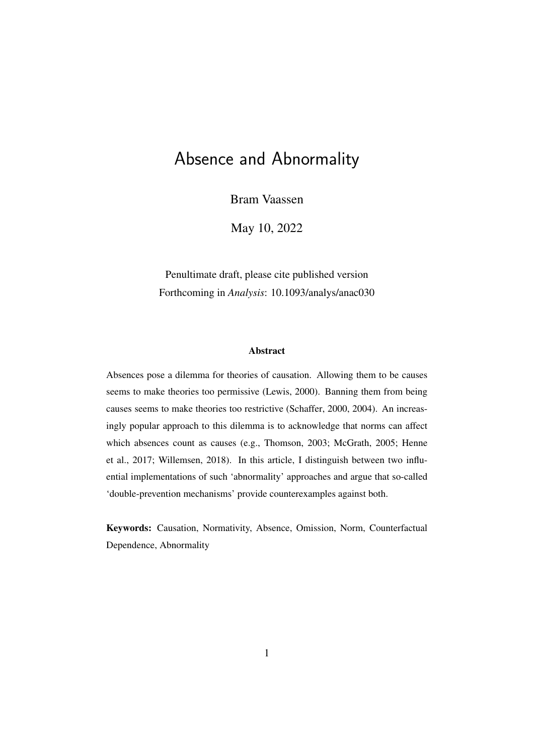# Absence and Abnormality

Bram Vaassen

May 10, 2022

Penultimate draft, please cite published version Forthcoming in *Analysis*: 10.1093/analys/anac030

#### Abstract

Absences pose a dilemma for theories of causation. Allowing them to be causes seems to make theories too permissive [\(Lewis, 2000\)](#page-12-0). Banning them from being causes seems to make theories too restrictive [\(Schaffer, 2000,](#page-12-1) [2004\)](#page-12-2). An increasingly popular approach to this dilemma is to acknowledge that norms can affect which absences count as causes (e.g., [Thomson, 2003;](#page-12-3) [McGrath, 2005;](#page-12-4) [Henne](#page-11-0) [et al., 2017;](#page-11-0) [Willemsen, 2018\)](#page-12-5). In this article, I distinguish between two influential implementations of such 'abnormality' approaches and argue that so-called 'double-prevention mechanisms' provide counterexamples against both.

Keywords: Causation, Normativity, Absence, Omission, Norm, Counterfactual Dependence, Abnormality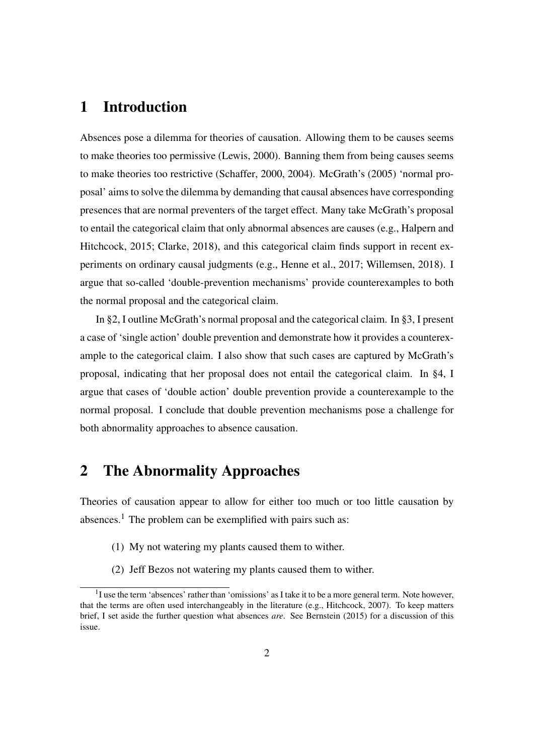## 1 Introduction

Absences pose a dilemma for theories of causation. Allowing them to be causes seems to make theories too permissive [\(Lewis, 2000\)](#page-12-0). Banning them from being causes seems to make theories too restrictive [\(Schaffer, 2000,](#page-12-1) [2004\)](#page-12-2). McGrath's [\(2005\)](#page-12-4) 'normal proposal' aims to solve the dilemma by demanding that causal absences have corresponding presences that are normal preventers of the target effect. Many take McGrath's proposal to entail the categorical claim that only abnormal absences are causes (e.g., [Halpern and](#page-11-1) [Hitchcock, 2015;](#page-11-1) [Clarke, 2018\)](#page-11-2), and this categorical claim finds support in recent experiments on ordinary causal judgments (e.g., [Henne et al., 2017;](#page-11-0) [Willemsen, 2018\)](#page-12-5). I argue that so-called 'double-prevention mechanisms' provide counterexamples to both the normal proposal and the categorical claim.

In §2, I outline McGrath's normal proposal and the categorical claim. In §3, I present a case of 'single action' double prevention and demonstrate how it provides a counterexample to the categorical claim. I also show that such cases are captured by McGrath's proposal, indicating that her proposal does not entail the categorical claim. In §4, I argue that cases of 'double action' double prevention provide a counterexample to the normal proposal. I conclude that double prevention mechanisms pose a challenge for both abnormality approaches to absence causation.

#### 2 The Abnormality Approaches

Theories of causation appear to allow for either too much or too little causation by absences.<sup>[1](#page-1-0)</sup> The problem can be exemplified with pairs such as:

- (1) My not watering my plants caused them to wither.
- (2) Jeff Bezos not watering my plants caused them to wither.

<span id="page-1-0"></span> $<sup>1</sup>I$  use the term 'absences' rather than 'omissions' as I take it to be a more general term. Note however,</sup> that the terms are often used interchangeably in the literature (e.g., [Hitchcock, 2007\)](#page-12-6). To keep matters brief, I set aside the further question what absences *are*. See [Bernstein](#page-11-3) [\(2015\)](#page-11-3) for a discussion of this issue.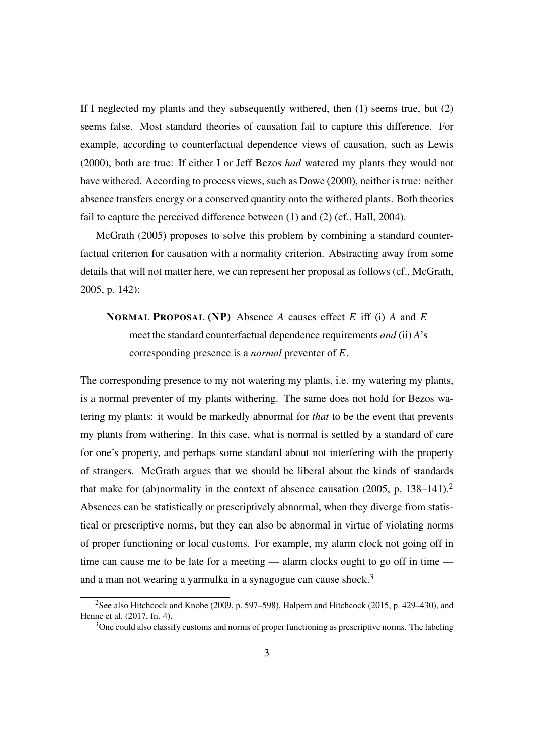If I neglected my plants and they subsequently withered, then (1) seems true, but (2) seems false. Most standard theories of causation fail to capture this difference. For example, according to counterfactual dependence views of causation, such as [Lewis](#page-12-0) [\(2000\)](#page-12-0), both are true: If either I or Jeff Bezos *had* watered my plants they would not have withered. According to process views, such as [Dowe](#page-11-4) [\(2000\)](#page-11-4), neither is true: neither absence transfers energy or a conserved quantity onto the withered plants. Both theories fail to capture the perceived difference between (1) and (2) (cf., [Hall, 2004\)](#page-11-5).

[McGrath](#page-12-4) [\(2005\)](#page-12-4) proposes to solve this problem by combining a standard counterfactual criterion for causation with a normality criterion. Abstracting away from some details that will not matter here, we can represent her proposal as follows (cf., [McGrath,](#page-12-4) [2005,](#page-12-4) p. 142):

### NORMAL PROPOSAL (NP) Absence *A* causes effect *E* iff (i) *A* and *E* meet the standard counterfactual dependence requirements *and* (ii) *A*'s corresponding presence is a *normal* preventer of *E*.

The corresponding presence to my not watering my plants, i.e. my watering my plants, is a normal preventer of my plants withering. The same does not hold for Bezos watering my plants: it would be markedly abnormal for *that* to be the event that prevents my plants from withering. In this case, what is normal is settled by a standard of care for one's property, and perhaps some standard about not interfering with the property of strangers. McGrath argues that we should be liberal about the kinds of standards that make for (ab)normality in the context of absence causation [\(2005,](#page-12-4) p. 138–141).<sup>[2](#page-2-0)</sup> Absences can be statistically or prescriptively abnormal, when they diverge from statistical or prescriptive norms, but they can also be abnormal in virtue of violating norms of proper functioning or local customs. For example, my alarm clock not going off in time can cause me to be late for a meeting — alarm clocks ought to go off in time — and a man not wearing a yarmulka in a synagogue can cause shock.<sup>[3](#page-2-1)</sup>

<span id="page-2-0"></span><sup>&</sup>lt;sup>2</sup>See also [Hitchcock and Knobe](#page-12-7) [\(2009,](#page-12-7) p. 597–598), [Halpern and Hitchcock](#page-11-1) [\(2015,](#page-11-1) p. 429–430), and [Henne et al.](#page-11-0) [\(2017,](#page-11-0) fn. 4).

<span id="page-2-1"></span> $3$ One could also classify customs and norms of proper functioning as prescriptive norms. The labeling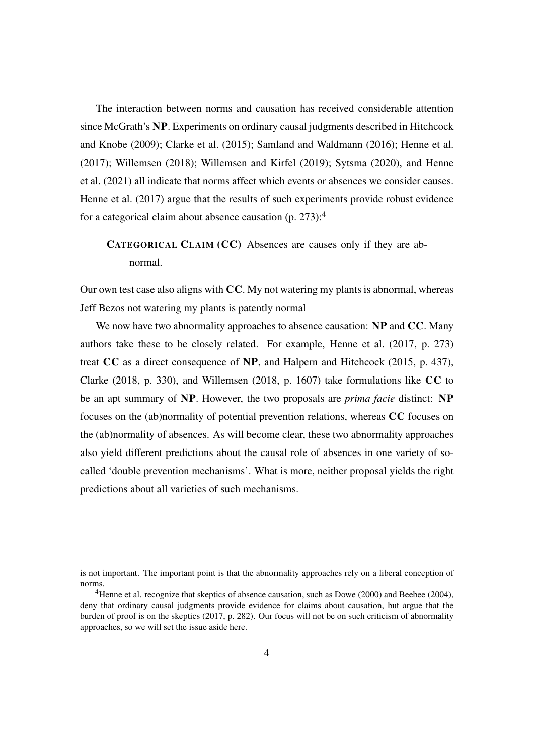The interaction between norms and causation has received considerable attention since McGrath's NP. Experiments on ordinary causal judgments described in [Hitchcock](#page-12-7) [and Knobe](#page-12-7) [\(2009\)](#page-12-7); [Clarke et al.](#page-11-6) [\(2015\)](#page-11-6); [Samland and Waldmann](#page-12-8) [\(2016\)](#page-12-8); [Henne et al.](#page-11-0) [\(2017\)](#page-11-0); [Willemsen](#page-12-5) [\(2018\)](#page-12-5); [Willemsen and Kirfel](#page-13-0) [\(2019\)](#page-13-0); [Sytsma](#page-12-9) [\(2020\)](#page-12-9), and [Henne](#page-11-7) [et al.](#page-11-7) [\(2021\)](#page-11-7) all indicate that norms affect which events or absences we consider causes. [Henne et al.](#page-11-0) [\(2017\)](#page-11-0) argue that the results of such experiments provide robust evidence for a categorical claim about absence causation  $(p. 273)$ :<sup>[4](#page-3-0)</sup>

#### CATEGORICAL CLAIM (CC) Absences are causes only if they are abnormal.

Our own test case also aligns with  $CC$ . My not watering my plants is abnormal, whereas Jeff Bezos not watering my plants is patently normal

We now have two abnormality approaches to absence causation: NP and CC. Many authors take these to be closely related. For example, [Henne et al.](#page-11-0) [\(2017,](#page-11-0) p. 273) treat CC as a direct consequence of NP, and [Halpern and Hitchcock](#page-11-1) [\(2015,](#page-11-1) p. 437), [Clarke](#page-11-2) [\(2018,](#page-11-2) p. 330), and [Willemsen](#page-12-5) [\(2018,](#page-12-5) p. 1607) take formulations like CC to be an apt summary of NP. However, the two proposals are *prima facie* distinct: NP focuses on the (ab)normality of potential prevention relations, whereas CC focuses on the (ab)normality of absences. As will become clear, these two abnormality approaches also yield different predictions about the causal role of absences in one variety of socalled 'double prevention mechanisms'. What is more, neither proposal yields the right predictions about all varieties of such mechanisms.

is not important. The important point is that the abnormality approaches rely on a liberal conception of norms.

<span id="page-3-0"></span><sup>&</sup>lt;sup>4</sup>Henne et al. recognize that skeptics of absence causation, such as [Dowe](#page-11-4) [\(2000\)](#page-11-4) and [Beebee](#page-11-8) [\(2004\)](#page-11-8), deny that ordinary causal judgments provide evidence for claims about causation, but argue that the burden of proof is on the skeptics [\(2017,](#page-11-0) p. 282). Our focus will not be on such criticism of abnormality approaches, so we will set the issue aside here.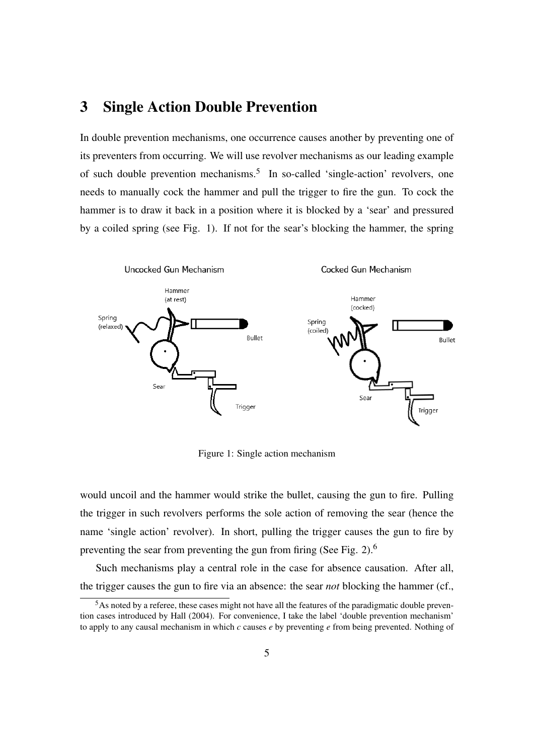#### 3 Single Action Double Prevention

In double prevention mechanisms, one occurrence causes another by preventing one of its preventers from occurring. We will use revolver mechanisms as our leading example of such double prevention mechanisms.<sup>[5](#page-4-0)</sup> In so-called 'single-action' revolvers, one needs to manually cock the hammer and pull the trigger to fire the gun. To cock the hammer is to draw it back in a position where it is blocked by a 'sear' and pressured by a coiled spring (see Fig. [1\)](#page-4-1). If not for the sear's blocking the hammer, the spring

<span id="page-4-1"></span>

Figure 1: Single action mechanism

would uncoil and the hammer would strike the bullet, causing the gun to fire. Pulling the trigger in such revolvers performs the sole action of removing the sear (hence the name 'single action' revolver). In short, pulling the trigger causes the gun to fire by preventing the sear from preventing the gun from firing (See Fig. [2\)](#page-5-0).[6](#page-5-1)

Such mechanisms play a central role in the case for absence causation. After all, the trigger causes the gun to fire via an absence: the sear *not* blocking the hammer (cf.,

<span id="page-4-0"></span><sup>&</sup>lt;sup>5</sup>As noted by a referee, these cases might not have all the features of the paradigmatic double prevention cases introduced by [Hall](#page-11-5) [\(2004\)](#page-11-5). For convenience, I take the label 'double prevention mechanism' to apply to any causal mechanism in which *c* causes *e* by preventing *e* from being prevented. Nothing of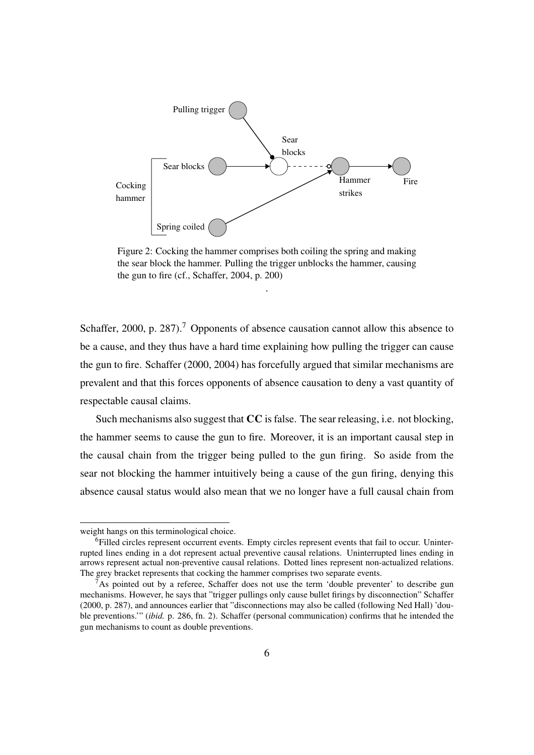<span id="page-5-0"></span>

Figure 2: Cocking the hammer comprises both coiling the spring and making the sear block the hammer. Pulling the trigger unblocks the hammer, causing the gun to fire (cf., [Schaffer, 2004,](#page-12-2) p. 200)

.

[Schaffer, 2000,](#page-12-1) p. 28[7](#page-5-2)).<sup>7</sup> Opponents of absence causation cannot allow this absence to be a cause, and they thus have a hard time explaining how pulling the trigger can cause the gun to fire. [Schaffer](#page-12-1) [\(2000,](#page-12-1) [2004\)](#page-12-2) has forcefully argued that similar mechanisms are prevalent and that this forces opponents of absence causation to deny a vast quantity of respectable causal claims.

Such mechanisms also suggest that CC is false. The sear releasing, i.e. not blocking, the hammer seems to cause the gun to fire. Moreover, it is an important causal step in the causal chain from the trigger being pulled to the gun firing. So aside from the sear not blocking the hammer intuitively being a cause of the gun firing, denying this absence causal status would also mean that we no longer have a full causal chain from

weight hangs on this terminological choice.

<span id="page-5-1"></span><sup>&</sup>lt;sup>6</sup>Filled circles represent occurrent events. Empty circles represent events that fail to occur. Uninterrupted lines ending in a dot represent actual preventive causal relations. Uninterrupted lines ending in arrows represent actual non-preventive causal relations. Dotted lines represent non-actualized relations. The grey bracket represents that cocking the hammer comprises two separate events.

<span id="page-5-2"></span><sup>7</sup>As pointed out by a referee, Schaffer does not use the term 'double preventer' to describe gun mechanisms. However, he says that "trigger pullings only cause bullet firings by disconnection" [Schaffer](#page-12-1) [\(2000,](#page-12-1) p. 287), and announces earlier that "disconnections may also be called (following Ned Hall) 'double preventions.'" (*ibid.* p. 286, fn. 2). Schaffer (personal communication) confirms that he intended the gun mechanisms to count as double preventions.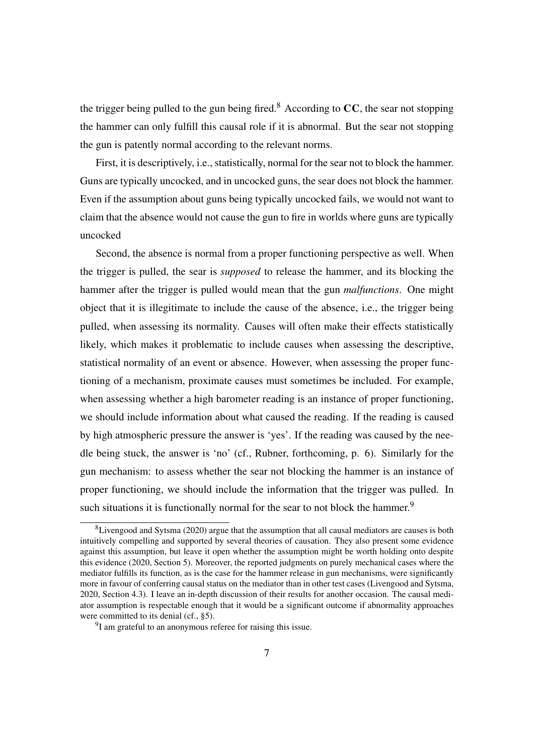the trigger being pulled to the gun being fired.<sup>[8](#page-6-0)</sup> According to  $CC$ , the sear not stopping the hammer can only fulfill this causal role if it is abnormal. But the sear not stopping the gun is patently normal according to the relevant norms.

First, it is descriptively, i.e., statistically, normal for the sear not to block the hammer. Guns are typically uncocked, and in uncocked guns, the sear does not block the hammer. Even if the assumption about guns being typically uncocked fails, we would not want to claim that the absence would not cause the gun to fire in worlds where guns are typically uncocked

Second, the absence is normal from a proper functioning perspective as well. When the trigger is pulled, the sear is *supposed* to release the hammer, and its blocking the hammer after the trigger is pulled would mean that the gun *malfunctions*. One might object that it is illegitimate to include the cause of the absence, i.e., the trigger being pulled, when assessing its normality. Causes will often make their effects statistically likely, which makes it problematic to include causes when assessing the descriptive, statistical normality of an event or absence. However, when assessing the proper functioning of a mechanism, proximate causes must sometimes be included. For example, when assessing whether a high barometer reading is an instance of proper functioning, we should include information about what caused the reading. If the reading is caused by high atmospheric pressure the answer is 'yes'. If the reading was caused by the needle being stuck, the answer is 'no' (cf., Rubner, forthcoming, p. 6). Similarly for the gun mechanism: to assess whether the sear not blocking the hammer is an instance of proper functioning, we should include the information that the trigger was pulled. In such situations it is functionally normal for the sear to not block the hammer.<sup>[9](#page-6-1)</sup>

<span id="page-6-0"></span> ${}^{8}$ [Livengood and Sytsma](#page-12-10) [\(2020\)](#page-12-10) argue that the assumption that all causal mediators are causes is both intuitively compelling and supported by several theories of causation. They also present some evidence against this assumption, but leave it open whether the assumption might be worth holding onto despite this evidence [\(2020,](#page-12-10) Section 5). Moreover, the reported judgments on purely mechanical cases where the mediator fulfills its function, as is the case for the hammer release in gun mechanisms, were significantly more in favour of conferring causal status on the mediator than in other test cases [\(Livengood and Sytsma,](#page-12-10) [2020,](#page-12-10) Section 4.3). I leave an in-depth discussion of their results for another occasion. The causal mediator assumption is respectable enough that it would be a significant outcome if abnormality approaches were committed to its denial (cf., §5).

<span id="page-6-1"></span><sup>&</sup>lt;sup>9</sup>I am grateful to an anonymous referee for raising this issue.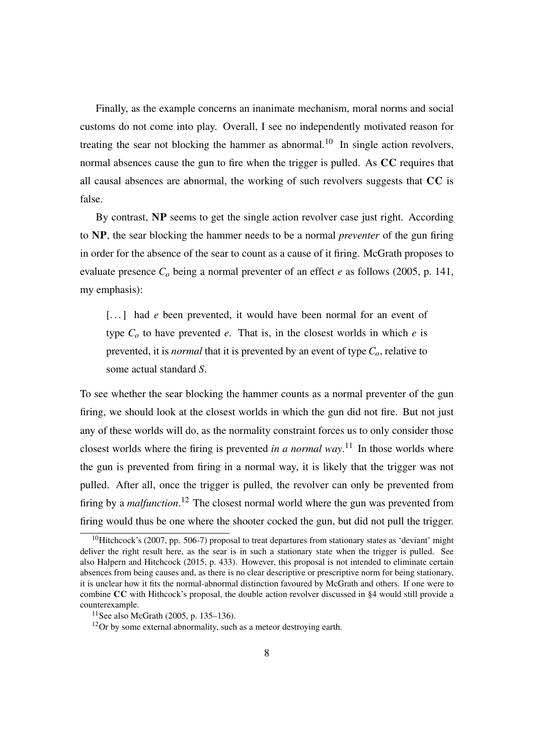Finally, as the example concerns an inanimate mechanism, moral norms and social customs do not come into play. Overall, I see no independently motivated reason for treating the sear not blocking the hammer as abnormal.<sup>[10](#page-7-0)</sup> In single action revolvers, normal absences cause the gun to fire when the trigger is pulled. As CC requires that all causal absences are abnormal, the working of such revolvers suggests that CC is false.

By contrast, NP seems to get the single action revolver case just right. According to NP, the sear blocking the hammer needs to be a normal *preventer* of the gun firing in order for the absence of the sear to count as a cause of it firing. McGrath proposes to evaluate presence *C<sup>o</sup>* being a normal preventer of an effect *e* as follows [\(2005,](#page-12-4) p. 141, my emphasis):

[...] had *e* been prevented, it would have been normal for an event of type  $C<sub>o</sub>$  to have prevented *e*. That is, in the closest worlds in which *e* is prevented, it is *normal* that it is prevented by an event of type *Co*, relative to some actual standard *S*.

To see whether the sear blocking the hammer counts as a normal preventer of the gun firing, we should look at the closest worlds in which the gun did not fire. But not just any of these worlds will do, as the normality constraint forces us to only consider those closest worlds where the firing is prevented *in a normal way*. [11](#page-7-1) In those worlds where the gun is prevented from firing in a normal way, it is likely that the trigger was not pulled. After all, once the trigger is pulled, the revolver can only be prevented from firing by a *malfunction*. [12](#page-7-2) The closest normal world where the gun was prevented from firing would thus be one where the shooter cocked the gun, but did not pull the trigger.

<span id="page-7-0"></span> $10$ Hitchcock's [\(2007,](#page-12-6) pp. 506-7) proposal to treat departures from stationary states as 'deviant' might deliver the right result here, as the sear is in such a stationary state when the trigger is pulled. See also [Halpern and Hitchcock](#page-11-1) [\(2015,](#page-11-1) p. 433). However, this proposal is not intended to eliminate certain absences from being causes and, as there is no clear descriptive or prescriptive norm for being stationary, it is unclear how it fits the normal-abnormal distinction favoured by McGrath and others. If one were to combine CC with Hithcock's proposal, the double action revolver discussed in §4 would still provide a counterexample.

<span id="page-7-1"></span><sup>11</sup>See also [McGrath](#page-12-4) [\(2005,](#page-12-4) p. 135–136).

<span id="page-7-2"></span> $12$ Or by some external abnormality, such as a meteor destroying earth.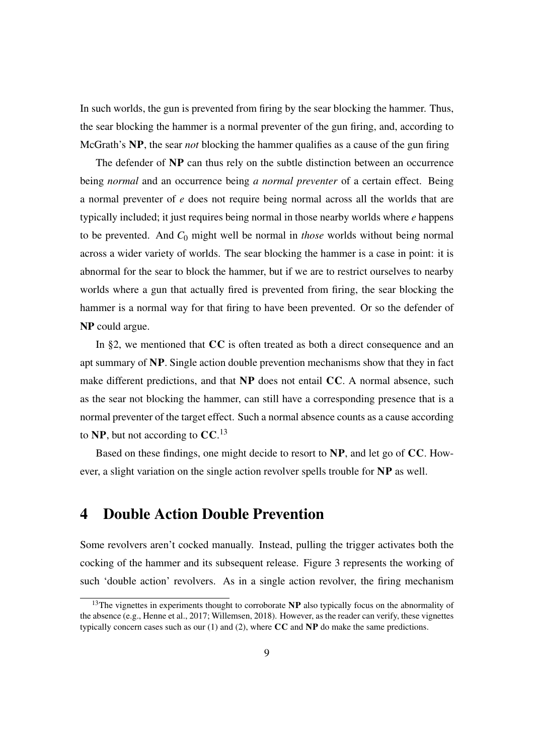In such worlds, the gun is prevented from firing by the sear blocking the hammer. Thus, the sear blocking the hammer is a normal preventer of the gun firing, and, according to McGrath's NP, the sear *not* blocking the hammer qualifies as a cause of the gun firing

The defender of NP can thus rely on the subtle distinction between an occurrence being *normal* and an occurrence being *a normal preventer* of a certain effect. Being a normal preventer of *e* does not require being normal across all the worlds that are typically included; it just requires being normal in those nearby worlds where *e* happens to be prevented. And *C*<sup>0</sup> might well be normal in *those* worlds without being normal across a wider variety of worlds. The sear blocking the hammer is a case in point: it is abnormal for the sear to block the hammer, but if we are to restrict ourselves to nearby worlds where a gun that actually fired is prevented from firing, the sear blocking the hammer is a normal way for that firing to have been prevented. Or so the defender of NP could argue.

In §2, we mentioned that CC is often treated as both a direct consequence and an apt summary of NP. Single action double prevention mechanisms show that they in fact make different predictions, and that NP does not entail CC. A normal absence, such as the sear not blocking the hammer, can still have a corresponding presence that is a normal preventer of the target effect. Such a normal absence counts as a cause according to NP, but not according to  $CC$ .<sup>[13](#page-8-0)</sup>

Based on these findings, one might decide to resort to NP, and let go of CC. However, a slight variation on the single action revolver spells trouble for NP as well.

#### 4 Double Action Double Prevention

Some revolvers aren't cocked manually. Instead, pulling the trigger activates both the cocking of the hammer and its subsequent release. Figure [3](#page-9-0) represents the working of such 'double action' revolvers. As in a single action revolver, the firing mechanism

<span id="page-8-0"></span><sup>&</sup>lt;sup>13</sup>The vignettes in experiments thought to corroborate  $NP$  also typically focus on the abnormality of the absence (e.g., [Henne et al., 2017;](#page-11-0) [Willemsen, 2018\)](#page-12-5). However, as the reader can verify, these vignettes typically concern cases such as our  $(1)$  and  $(2)$ , where CC and NP do make the same predictions.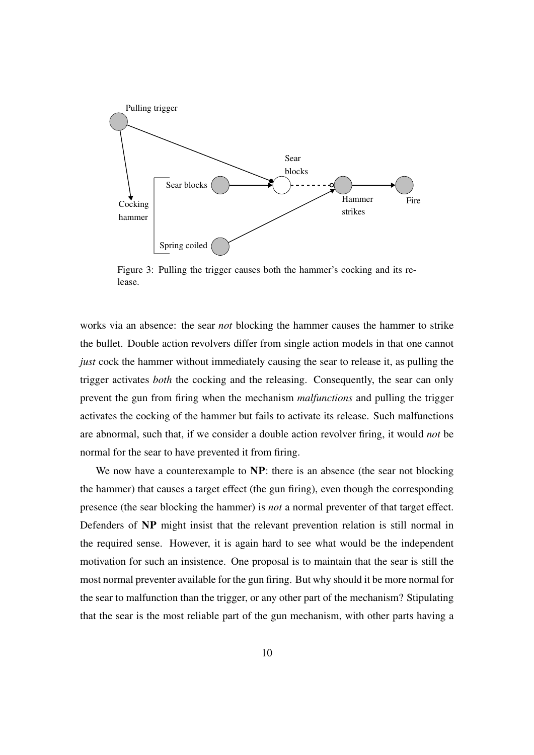<span id="page-9-0"></span>

Figure 3: Pulling the trigger causes both the hammer's cocking and its release.

works via an absence: the sear *not* blocking the hammer causes the hammer to strike the bullet. Double action revolvers differ from single action models in that one cannot *just* cock the hammer without immediately causing the sear to release it, as pulling the trigger activates *both* the cocking and the releasing. Consequently, the sear can only prevent the gun from firing when the mechanism *malfunctions* and pulling the trigger activates the cocking of the hammer but fails to activate its release. Such malfunctions are abnormal, such that, if we consider a double action revolver firing, it would *not* be normal for the sear to have prevented it from firing.

We now have a counterexample to **NP**: there is an absence (the sear not blocking the hammer) that causes a target effect (the gun firing), even though the corresponding presence (the sear blocking the hammer) is *not* a normal preventer of that target effect. Defenders of NP might insist that the relevant prevention relation is still normal in the required sense. However, it is again hard to see what would be the independent motivation for such an insistence. One proposal is to maintain that the sear is still the most normal preventer available for the gun firing. But why should it be more normal for the sear to malfunction than the trigger, or any other part of the mechanism? Stipulating that the sear is the most reliable part of the gun mechanism, with other parts having a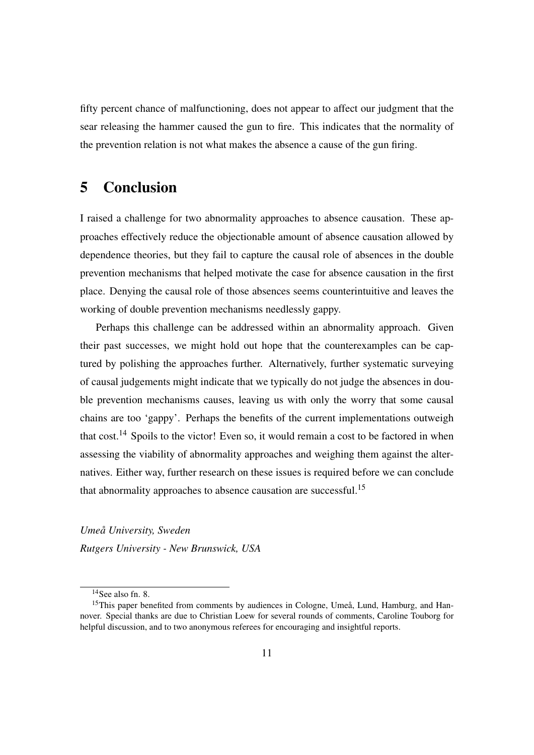fifty percent chance of malfunctioning, does not appear to affect our judgment that the sear releasing the hammer caused the gun to fire. This indicates that the normality of the prevention relation is not what makes the absence a cause of the gun firing.

#### 5 Conclusion

I raised a challenge for two abnormality approaches to absence causation. These approaches effectively reduce the objectionable amount of absence causation allowed by dependence theories, but they fail to capture the causal role of absences in the double prevention mechanisms that helped motivate the case for absence causation in the first place. Denying the causal role of those absences seems counterintuitive and leaves the working of double prevention mechanisms needlessly gappy.

Perhaps this challenge can be addressed within an abnormality approach. Given their past successes, we might hold out hope that the counterexamples can be captured by polishing the approaches further. Alternatively, further systematic surveying of causal judgements might indicate that we typically do not judge the absences in double prevention mechanisms causes, leaving us with only the worry that some causal chains are too 'gappy'. Perhaps the benefits of the current implementations outweigh that cost.<sup>[14](#page-10-0)</sup> Spoils to the victor! Even so, it would remain a cost to be factored in when assessing the viability of abnormality approaches and weighing them against the alternatives. Either way, further research on these issues is required before we can conclude that abnormality approaches to absence causation are successful.<sup>[15](#page-10-1)</sup>

*Umea University, Sweden ˚ Rutgers University - New Brunswick, USA*

<span id="page-10-1"></span><span id="page-10-0"></span> $14$ See also fn. [8.](#page-6-0)

 $15$ This paper benefited from comments by audiences in Cologne, Umeå, Lund, Hamburg, and Hannover. Special thanks are due to Christian Loew for several rounds of comments, Caroline Touborg for helpful discussion, and to two anonymous referees for encouraging and insightful reports.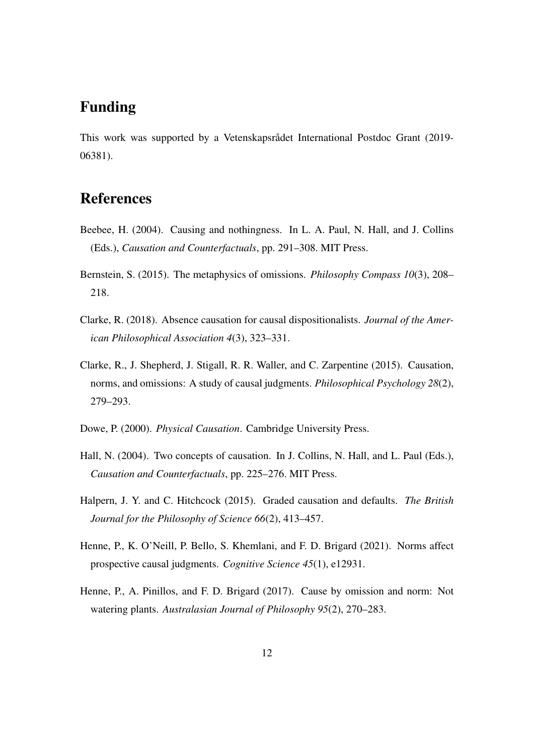# Funding

This work was supported by a Vetenskapsrådet International Postdoc Grant (2019-06381).

#### References

- <span id="page-11-8"></span>Beebee, H. (2004). Causing and nothingness. In L. A. Paul, N. Hall, and J. Collins (Eds.), *Causation and Counterfactuals*, pp. 291–308. MIT Press.
- <span id="page-11-3"></span>Bernstein, S. (2015). The metaphysics of omissions. *Philosophy Compass 10*(3), 208– 218.
- <span id="page-11-2"></span>Clarke, R. (2018). Absence causation for causal dispositionalists. *Journal of the American Philosophical Association 4*(3), 323–331.
- <span id="page-11-6"></span>Clarke, R., J. Shepherd, J. Stigall, R. R. Waller, and C. Zarpentine (2015). Causation, norms, and omissions: A study of causal judgments. *Philosophical Psychology 28*(2), 279–293.
- <span id="page-11-4"></span>Dowe, P. (2000). *Physical Causation*. Cambridge University Press.
- <span id="page-11-5"></span>Hall, N. (2004). Two concepts of causation. In J. Collins, N. Hall, and L. Paul (Eds.), *Causation and Counterfactuals*, pp. 225–276. MIT Press.
- <span id="page-11-1"></span>Halpern, J. Y. and C. Hitchcock (2015). Graded causation and defaults. *The British Journal for the Philosophy of Science 66*(2), 413–457.
- <span id="page-11-7"></span>Henne, P., K. O'Neill, P. Bello, S. Khemlani, and F. D. Brigard (2021). Norms affect prospective causal judgments. *Cognitive Science 45*(1), e12931.
- <span id="page-11-0"></span>Henne, P., A. Pinillos, and F. D. Brigard (2017). Cause by omission and norm: Not watering plants. *Australasian Journal of Philosophy 95*(2), 270–283.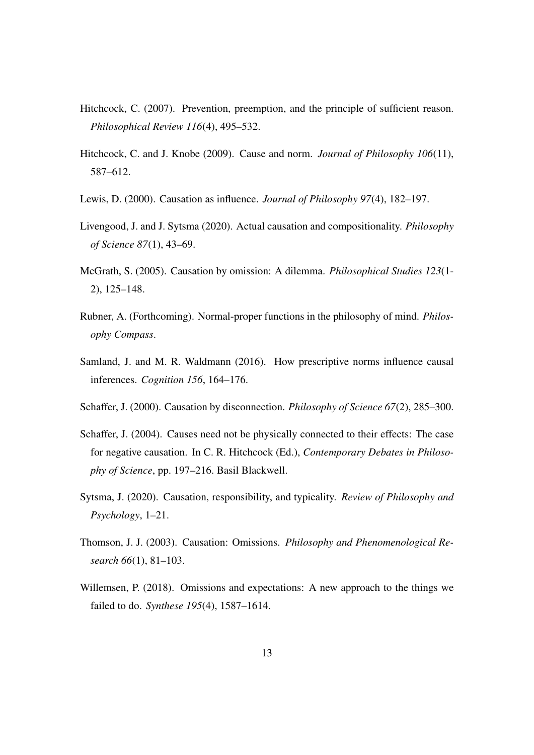- <span id="page-12-6"></span>Hitchcock, C. (2007). Prevention, preemption, and the principle of sufficient reason. *Philosophical Review 116*(4), 495–532.
- <span id="page-12-7"></span>Hitchcock, C. and J. Knobe (2009). Cause and norm. *Journal of Philosophy 106*(11), 587–612.
- <span id="page-12-0"></span>Lewis, D. (2000). Causation as influence. *Journal of Philosophy 97*(4), 182–197.
- <span id="page-12-10"></span>Livengood, J. and J. Sytsma (2020). Actual causation and compositionality. *Philosophy of Science 87*(1), 43–69.
- <span id="page-12-4"></span>McGrath, S. (2005). Causation by omission: A dilemma. *Philosophical Studies 123*(1- 2), 125–148.
- Rubner, A. (Forthcoming). Normal-proper functions in the philosophy of mind. *Philosophy Compass*.
- <span id="page-12-8"></span>Samland, J. and M. R. Waldmann (2016). How prescriptive norms influence causal inferences. *Cognition 156*, 164–176.
- <span id="page-12-1"></span>Schaffer, J. (2000). Causation by disconnection. *Philosophy of Science 67*(2), 285–300.
- <span id="page-12-2"></span>Schaffer, J. (2004). Causes need not be physically connected to their effects: The case for negative causation. In C. R. Hitchcock (Ed.), *Contemporary Debates in Philosophy of Science*, pp. 197–216. Basil Blackwell.
- <span id="page-12-9"></span>Sytsma, J. (2020). Causation, responsibility, and typicality. *Review of Philosophy and Psychology*, 1–21.
- <span id="page-12-3"></span>Thomson, J. J. (2003). Causation: Omissions. *Philosophy and Phenomenological Research 66*(1), 81–103.
- <span id="page-12-5"></span>Willemsen, P. (2018). Omissions and expectations: A new approach to the things we failed to do. *Synthese 195*(4), 1587–1614.